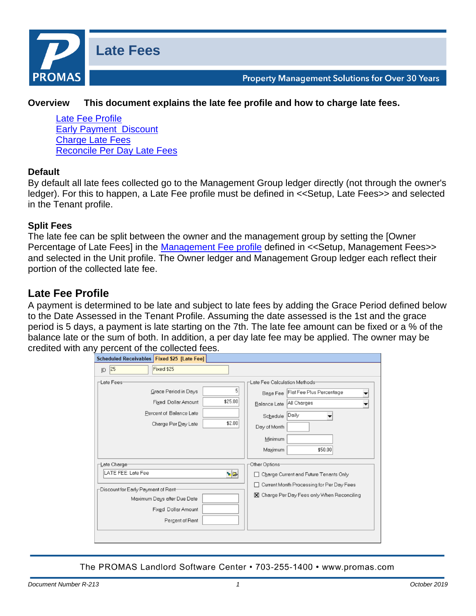

**Property Management Solutions for Over 30 Years** 

### **Overview This document explains the late fee profile and how to charge late fees.**

[Late Fee Profile](#page-0-0) [Early Payment Discount](#page-2-0) [Charge Late Fees](#page-3-0) [Reconcile Per Day Late Fees](#page-5-0)

#### **Default**

By default all late fees collected go to the Management Group ledger directly (not through the owner's ledger). For this to happen, a Late Fee profile must be defined in <<Setup, Late Fees>> and selected in the Tenant profile.

#### **Split Fees**

The late fee can be split between the owner and the management group by setting the [Owner Percentage of Late Fees] in the [Management Fee profile](http://promas.com/pdf/R-392%20Management%20Fee%20Profile.pdf) defined in <<Setup, Management Fees>> and selected in the Unit profile. The Owner ledger and Management Group ledger each reflect their portion of the collected late fee.

# <span id="page-0-0"></span>**Late Fee Profile**

A payment is determined to be late and subject to late fees by adding the Grace Period defined below to the Date Assessed in the Tenant Profile. Assuming the date assessed is the 1st and the grace period is 5 days, a payment is late starting on the 7th. The late fee amount can be fixed or a % of the balance late or the sum of both. In addition, a per day late fee may be applied. The owner may be credited with any percent of the collected fees.

| Scheduled Receivables   Fixed \$25 [Late Fee]                                                                                                             |                                                                                                                                                                                               |
|-----------------------------------------------------------------------------------------------------------------------------------------------------------|-----------------------------------------------------------------------------------------------------------------------------------------------------------------------------------------------|
| 25<br>Fixed \$25<br>ID                                                                                                                                    |                                                                                                                                                                                               |
| -Late Fees-<br>5<br>Grace Period in Days<br>\$25.00<br>Fixed Dollar Amount<br>Percent of Balance Late<br>\$2.00<br>Charge Per Day Late                    | Late Fee Calculation Methods <sup>.</sup><br>Flat Fee Plus Percentage<br><b>Base Fee</b><br>All Charges<br>Balance Late<br>Daily<br>Schedule<br>Day of Month<br>Minimum<br>\$50.00<br>Maximum |
| ⊢Late Charge-<br>LATE FEE: Late Fee<br>ৡ⊵<br>Discount for Early Payment of Rent-<br>Maximum Days after Due Date<br>Fixed Dollar Amount<br>Percent of Rent | Other Options-<br>□ Charge Current and Future Tenants Only<br>Current Month Processing for Per Day Fees<br>п<br>X Charge Per Day Fees only When Reconciling                                   |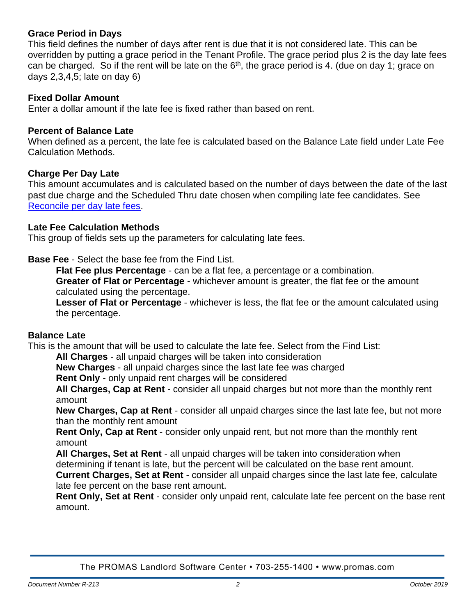# **Grace Period in Days**

This field defines the number of days after rent is due that it is not considered late. This can be overridden by putting a grace period in the Tenant Profile. The grace period plus 2 is the day late fees can be charged. So if the rent will be late on the  $6<sup>th</sup>$ , the grace period is 4. (due on day 1; grace on days 2,3,4,5; late on day 6)

### **Fixed Dollar Amount**

Enter a dollar amount if the late fee is fixed rather than based on rent.

### **Percent of Balance Late**

When defined as a percent, the late fee is calculated based on the Balance Late field under Late Fee Calculation Methods.

## **Charge Per Day Late**

This amount accumulates and is calculated based on the number of days between the date of the last past due charge and the Scheduled Thru date chosen when compiling late fee candidates. See [Reconcile per day late fees.](#page-5-0)

### **Late Fee Calculation Methods**

This group of fields sets up the parameters for calculating late fees.

**Base Fee** - Select the base fee from the Find List.

**Flat Fee plus Percentage** - can be a flat fee, a percentage or a combination.

**Greater of Flat or Percentage** - whichever amount is greater, the flat fee or the amount calculated using the percentage.

**Lesser of Flat or Percentage** - whichever is less, the flat fee or the amount calculated using the percentage.

### **Balance Late**

This is the amount that will be used to calculate the late fee. Select from the Find List:

**All Charges** - all unpaid charges will be taken into consideration

**New Charges** - all unpaid charges since the last late fee was charged

**Rent Only** - only unpaid rent charges will be considered

**All Charges, Cap at Rent** - consider all unpaid charges but not more than the monthly rent amount

**New Charges, Cap at Rent** - consider all unpaid charges since the last late fee, but not more than the monthly rent amount

**Rent Only, Cap at Rent** - consider only unpaid rent, but not more than the monthly rent amount

**All Charges, Set at Rent** - all unpaid charges will be taken into consideration when determining if tenant is late, but the percent will be calculated on the base rent amount.

**Current Charges, Set at Rent** - consider all unpaid charges since the last late fee, calculate late fee percent on the base rent amount.

**Rent Only, Set at Rent** - consider only unpaid rent, calculate late fee percent on the base rent amount.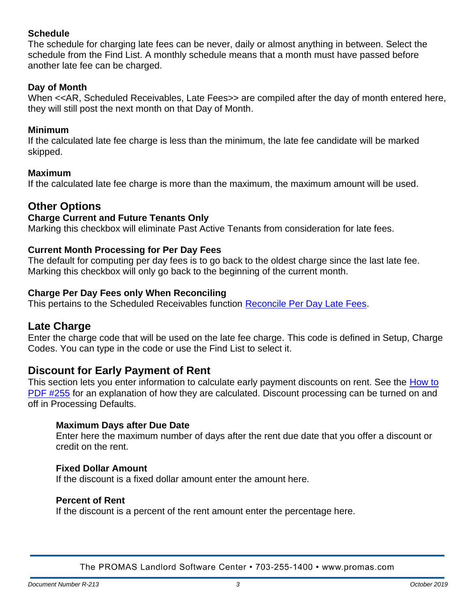# **Schedule**

The schedule for charging late fees can be never, daily or almost anything in between. Select the schedule from the Find List. A monthly schedule means that a month must have passed before another late fee can be charged.

## **Day of Month**

When <<AR, Scheduled Receivables, Late Fees>> are compiled after the day of month entered here, they will still post the next month on that Day of Month.

### **Minimum**

If the calculated late fee charge is less than the minimum, the late fee candidate will be marked skipped.

## **Maximum**

If the calculated late fee charge is more than the maximum, the maximum amount will be used.

# **Other Options**

### **Charge Current and Future Tenants Only**

Marking this checkbox will eliminate Past Active Tenants from consideration for late fees.

## **Current Month Processing for Per Day Fees**

The default for computing per day fees is to go back to the oldest charge since the last late fee. Marking this checkbox will only go back to the beginning of the current month.

## **Charge Per Day Fees only When Reconciling**

This pertains to the Scheduled Receivables function [Reconcile Per Day Late Fees.](#page-5-0)

# **Late Charge**

Enter the charge code that will be used on the late fee charge. This code is defined in Setup, Charge Codes. You can type in the code or use the Find List to select it.

# <span id="page-2-0"></span>**Discount for Early Payment of Rent**

This section lets you enter information to calculate early payment discounts on rent. See the How to [PDF #255](http://promas.com/pdf/R-255%20Early%20Payment%20%20Discount%20on%20Rent.pdf) for an explanation of how they are calculated. Discount processing can be turned on and off in Processing Defaults.

### **Maximum Days after Due Date**

Enter here the maximum number of days after the rent due date that you offer a discount or credit on the rent.

### **Fixed Dollar Amount**

If the discount is a fixed dollar amount enter the amount here.

### **Percent of Rent**

If the discount is a percent of the rent amount enter the percentage here.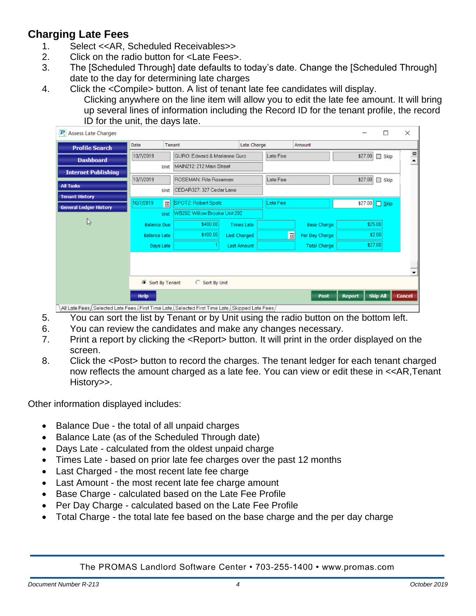# <span id="page-3-0"></span>**Charging Late Fees**

- 1. Select <<AR, Scheduled Receivables>>
- 2. Click on the radio button for <Late Fees>.
- 3. The [Scheduled Through] date defaults to today's date. Change the [Scheduled Through] date to the day for determining late charges
- 4. Click the <Compile> button. A list of tenant late fee candidates will display.

Clicking anywhere on the line item will allow you to edit the late fee amount. It will bring up several lines of information including the Record ID for the tenant profile, the record ID for the unit, the days late.

| $\mathbf{P}_i$ Assess Late Charges                                                                    |                                                                          |             |                               |                    |                       |          |                     |  | □                      | $\times$             |
|-------------------------------------------------------------------------------------------------------|--------------------------------------------------------------------------|-------------|-------------------------------|--------------------|-----------------------|----------|---------------------|--|------------------------|----------------------|
| <b>Profile Search</b>                                                                                 | <b>Date</b>                                                              | Tenant      |                               |                    | Late Charge<br>Amount |          |                     |  |                        |                      |
| <b>Dashboard</b>                                                                                      | 10/7/2019                                                                |             | GURO: Edward & Marianne Guro  |                    |                       | Late Fee |                     |  | \$27.00<br>$\Box$ Skip | $\frac{1}{\epsilon}$ |
| <b>Internet Publishing</b>                                                                            |                                                                          | <b>Unit</b> | MAIN212: 212 Main Street      |                    |                       |          |                     |  |                        |                      |
|                                                                                                       | 10/7/2019                                                                |             | ROSEMAN: Rita Roseman         |                    |                       | Late Fee |                     |  | \$27.00<br>$\Box$ Skip |                      |
| <b>All Tasks</b>                                                                                      |                                                                          | <b>Unit</b> | CEDAR327: 327 Cedar Lane      |                    |                       |          |                     |  |                        |                      |
| <b>Tenant History</b>                                                                                 | 10/7/2019                                                                | 国           | SPOTZ: Robert Spotz           |                    |                       | Late Fee |                     |  | \$27.00 Skip           |                      |
| <b>General Ledger History</b>                                                                         |                                                                          | Unit        | WB202: Willow Brooke Unit 202 |                    |                       |          |                     |  |                        |                      |
| $\mathbb{P}$                                                                                          | <b>Balance Due</b>                                                       |             | \$400.00                      | <b>Times Late</b>  |                       |          | <b>Base Charge</b>  |  | \$25.00                |                      |
|                                                                                                       | <b>Balance Late</b>                                                      |             | \$400.00]                     | Last Charged       |                       | 国        | Per Day Charge      |  | \$2.00                 |                      |
|                                                                                                       |                                                                          |             |                               | <b>Last Amount</b> |                       |          |                     |  | \$27.00                |                      |
|                                                                                                       | Days Late                                                                |             |                               |                    |                       |          | <b>Total Charge</b> |  |                        |                      |
|                                                                                                       |                                                                          |             |                               |                    |                       |          |                     |  |                        |                      |
|                                                                                                       |                                                                          |             |                               |                    |                       |          |                     |  |                        |                      |
|                                                                                                       | G Sort By Tenant<br>$\circ$<br>Sort By Unit                              |             |                               |                    |                       |          |                     |  |                        |                      |
|                                                                                                       | <b>Skip All</b><br><b>Cancel</b><br><b>Help</b><br>Post<br><b>Report</b> |             |                               |                    |                       |          |                     |  |                        |                      |
| / All Late Fees ، Selected Late Fees ، First Time Late ، Selected First Time Late ، Skipped Late Fees |                                                                          |             |                               |                    |                       |          |                     |  |                        |                      |

5. You can sort the list by Tenant or by Unit using the radio button on the bottom left.

- 6. You can review the candidates and make any changes necessary.
- 7. Print a report by clicking the <Report> button. It will print in the order displayed on the screen.
- 8. Click the <Post> button to record the charges. The tenant ledger for each tenant charged now reflects the amount charged as a late fee. You can view or edit these in <<AR,Tenant History>>.

Other information displayed includes:

- Balance Due the total of all unpaid charges
- Balance Late (as of the Scheduled Through date)
- Days Late calculated from the oldest unpaid charge
- Times Late based on prior late fee charges over the past 12 months
- Last Charged the most recent late fee charge
- Last Amount the most recent late fee charge amount
- Base Charge calculated based on the Late Fee Profile
- Per Day Charge calculated based on the Late Fee Profile
- Total Charge the total late fee based on the base charge and the per day charge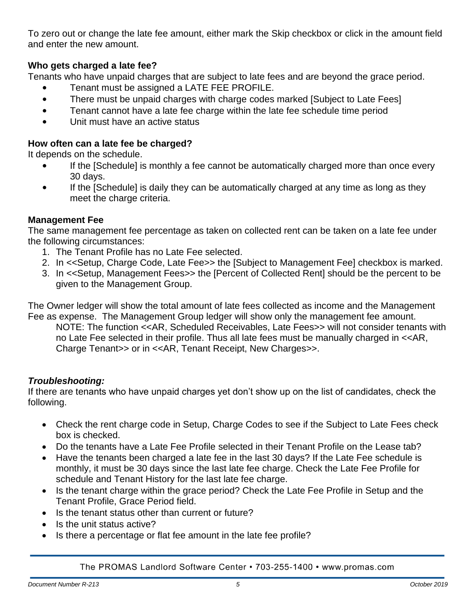To zero out or change the late fee amount, either mark the Skip checkbox or click in the amount field and enter the new amount.

# **Who gets charged a late fee?**

Tenants who have unpaid charges that are subject to late fees and are beyond the grace period.

- Tenant must be assigned a LATE FEE PROFILE.
- There must be unpaid charges with charge codes marked [Subject to Late Fees]
- Tenant cannot have a late fee charge within the late fee schedule time period
- Unit must have an active status

# **How often can a late fee be charged?**

It depends on the schedule.

- If the [Schedule] is monthly a fee cannot be automatically charged more than once every 30 days.
- If the [Schedule] is daily they can be automatically charged at any time as long as they meet the charge criteria.

# **Management Fee**

The same management fee percentage as taken on collected rent can be taken on a late fee under the following circumstances:

- 1. The Tenant Profile has no Late Fee selected.
- 2. In <<Setup, Charge Code, Late Fee>> the [Subject to Management Fee] checkbox is marked.
- 3. In <<Setup, Management Fees>> the [Percent of Collected Rent] should be the percent to be given to the Management Group.

The Owner ledger will show the total amount of late fees collected as income and the Management Fee as expense. The Management Group ledger will show only the management fee amount.

NOTE: The function <<AR, Scheduled Receivables, Late Fees>> will not consider tenants with no Late Fee selected in their profile. Thus all late fees must be manually charged in <<AR, Charge Tenant>> or in <<AR, Tenant Receipt, New Charges>>.

# *Troubleshooting:*

If there are tenants who have unpaid charges yet don't show up on the list of candidates, check the following.

- Check the rent charge code in Setup, Charge Codes to see if the Subject to Late Fees check box is checked.
- Do the tenants have a Late Fee Profile selected in their Tenant Profile on the Lease tab?
- Have the tenants been charged a late fee in the last 30 days? If the Late Fee schedule is monthly, it must be 30 days since the last late fee charge. Check the Late Fee Profile for schedule and Tenant History for the last late fee charge.
- Is the tenant charge within the grace period? Check the Late Fee Profile in Setup and the Tenant Profile, Grace Period field.
- Is the tenant status other than current or future?
- Is the unit status active?
- Is there a percentage or flat fee amount in the late fee profile?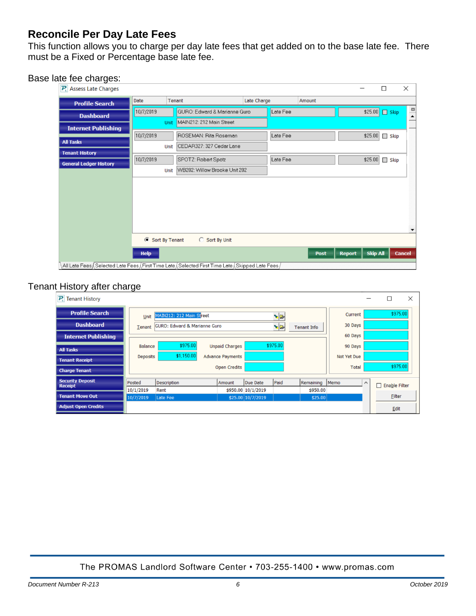# <span id="page-5-0"></span>**Reconcile Per Day Late Fees**

This function allows you to charge per day late fees that get added on to the base late fee. There must be a Fixed or Percentage base late fee.

### Base late fee charges:

| $\left  \mathbf{P}_t \right $ Assess Late Charges |                  |                                                                                                    |             |          |               | П                 | ×                    |
|---------------------------------------------------|------------------|----------------------------------------------------------------------------------------------------|-------------|----------|---------------|-------------------|----------------------|
| <b>Profile Search</b>                             | Date             | Tenant                                                                                             | Late Charge | Amount   |               |                   |                      |
| <b>Dashboard</b>                                  | 10/7/2019        | GURO: Edward & Marianne Guro                                                                       |             | Late Fee |               | \$25.00 Skip      | $\frac{1}{\epsilon}$ |
| <b>Internet Publishing</b>                        | <b>Unit</b>      | MAIN212: 212 Main Street                                                                           |             |          |               |                   | -                    |
|                                                   | 10/7/2019        | ROSEMAN: Rita Roseman                                                                              |             | Late Fee |               | \$25.00           | $\Box$ Skip          |
| <b>All Tasks</b>                                  | Unit             | CEDAR327: 327 Cedar Lane                                                                           |             |          |               |                   |                      |
| <b>Tenant History</b>                             | 10/7/2019        | SPOTZ: Robert Spotz                                                                                |             | Late Fee |               | \$25.00<br>$\Box$ | Skip                 |
| <b>General Ledger History</b>                     | Unit             | WB202: Willow Brooke Unit 202                                                                      |             |          |               |                   |                      |
|                                                   |                  |                                                                                                    |             |          |               |                   |                      |
|                                                   |                  |                                                                                                    |             |          |               |                   |                      |
|                                                   |                  |                                                                                                    |             |          |               |                   |                      |
|                                                   |                  |                                                                                                    |             |          |               |                   |                      |
|                                                   |                  |                                                                                                    |             |          |               |                   |                      |
|                                                   |                  |                                                                                                    |             |          |               |                   |                      |
|                                                   | ◯ Sort By Tenant | Sort By Unit                                                                                       |             |          |               |                   |                      |
|                                                   | <b>Help</b>      |                                                                                                    |             | Post     | <b>Report</b> | <b>Skip All</b>   | <b>Cancel</b>        |
|                                                   |                  | / All Late Fees، Selected Late Fees، First Time Late، Selected First Time Late، Skipped Late Fees، |             |          |               |                   |                      |

# Tenant History after charge

| $\overline{P_i}$ Tenant History           |                 |                                         |                         |                                     |          |                |                    |          | $\times$<br>□      |
|-------------------------------------------|-----------------|-----------------------------------------|-------------------------|-------------------------------------|----------|----------------|--------------------|----------|--------------------|
| <b>Profile Search</b>                     | Unit            | MAIN212: 212 Main Street                |                         |                                     |          | Current        |                    | \$975.00 |                    |
| <b>Dashboard</b>                          | Tenant          | <b>GURO: Edward &amp; Marianne Guro</b> |                         | $\frac{1}{2}$<br><b>Tenant Info</b> |          |                | 30 Days            |          |                    |
| <b>Internet Publishing</b>                |                 |                                         |                         |                                     |          |                | 60 Days            |          |                    |
| <b>All Tasks</b>                          | <b>Balance</b>  | \$975.00                                | <b>Unpaid Charges</b>   |                                     | \$975.00 |                | 90 Days            |          |                    |
| <b>Tenant Receipt</b>                     | <b>Deposits</b> | \$1,150.00                              | <b>Advance Payments</b> |                                     |          |                | <b>Not Yet Due</b> |          |                    |
| <b>Charge Tenant</b>                      |                 |                                         | <b>Open Credits</b>     |                                     |          |                | Total              |          | \$975.00           |
| <b>Security Deposit</b><br><b>Receipt</b> | Posted          | Description                             | Amount                  | Due Date                            | Paid     | Remaining Memo |                    | $\wedge$ | П<br>Enable Filter |
|                                           | 10/1/2019       | Rent                                    |                         | \$950.00 10/1/2019                  |          | \$950.00       |                    |          |                    |
| <b>Tenant Move Out</b>                    | 10/7/2019       | Late Fee                                |                         | \$25.00 10/7/2019                   |          | \$25.00        |                    |          | Filter             |
| <b>Adjust Open Credits</b>                |                 |                                         |                         |                                     |          |                |                    |          | Edit               |